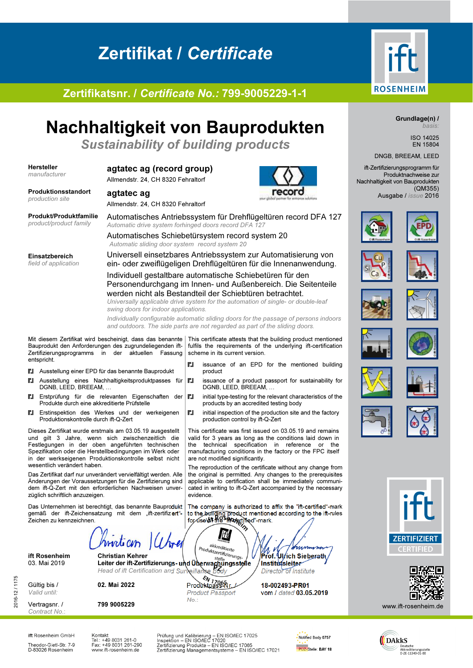# Zertifikat / Certificate



## Zertifikatsnr. / *Certificate No.:* 799-9005229-1-1

# Nachhaltigkeit von Bauprodukten

Sustainability of building products

#### Hersteller *manufacturer*

### agtatec ag (record group)

Allmendstr. 24, CH 8320 Fehraltorf



agtatec ag Allmendstr. 24, CH 8320 Fehraltorf

Produkt/Produktfamilie *product/product family*

Produktionsstandort *production site*

> Automatisches Antriebssystem für Drehflügeltüren record DFA 127 *Automatic drive system forhinged doors record DFA 127*

Einsatzbereich *field of application* Automatisches Schiebetürsystem record system 20 *Automatic sliding door system record system 20* Universell einsetzbares Antriebssystem zur Automatisierung von ein- oder zweiflügeligen Drehflügeltüren für die Innenanwendung. Individuell gestaltbare automatische Schiebetüren für den

Personendurchgang im Innen- und Außenbereich. Die Seitenteile werden nicht als Bestandteil der Schiebtüren betrachtet. *Universally applicable drive system for the automation of single- or double-leaf* 

*swing doors for indoor applications.* 

*Individually configurable automatic sliding doors for the passage of persons indoors and outdoors. The side parts are not regarded as part of the sliding doors.*

scheme in its current version.

are not modified significantly.

for use **of the "fift-ce**rtified"-mark.

lift

akkreditierte

DGNB, LEED, BREEAM, …

production control by ift-Q-Zert

product

**Il** issuance of an EPD for the mentioned building

**II** issuance of a product passport for sustainability for

 $\blacksquare$  initial type-testing for the relevant characteristics of the products by an accredited testing body  $\blacksquare$  initial inspection of the production site and the factory

This certificate was first issued on 03.05.19 and remains valid for 3 years as long as the conditions laid down in the technical specification in reference or the manufacturing conditions in the factory or the FPC itself

The reproduction of the certificate without any change from the original is permitted. Any changes to the prerequisites applicable to certification shall be immediately communicated in writing to ift-Q-Zert accompanied by the necessary

The company is authorized to affix the "ift-certified"-mark to the building product mentioned according to the ift-rules

Mit diesem Zertifikat wird bescheinigt, dass das benannte Bauprodukt den Anforderungen des zugrundeliegenden ift-Zertifizierungsprogramms in der aktuellen Fassung entspricht.

- Ausstellung einer EPD für das benannte Bauprodukt
- **Il** Ausstellung eines Nachhaltigkeitsproduktpasses für DGNB, LEED, BREEAM, …
- Ell Erstprüfung für die relevanten Eigenschaften der Produkte durch eine akkreditierte Prüfstelle
- Ell Erstinspektion des Werkes und der werkeigenen Produktionskontrolle durch ift-Q-Zert

Dieses Zertifikat wurde erstmals am 03.05.19 ausgestellt und gilt 3 Jahre, wenn sich zwischenzeitlich die Festlegungen in der oben angeführten technischen Spezifikation oder die Herstellbedingungen im Werk oder in der werkseigenen Produktionskontrolle selbst nicht wesentlich verändert haben.

Das Zertifikat darf nur unverändert vervielfältigt werden. Alle Änderungen der Voraussetzungen für die Zertifizierung sind dem ift-Q-Zert mit den erforderlichen Nachweisen unverzüglich schriftlich anzuzeigen.

Das Unternehmen ist berechtigt, das benannte Bauprodukt gemäß der ift-Zeichensatzung mit dem "ift-zertifiziert"-Zeichen zu kennzeichnen.

moticin

ift Rosenheim Christian Kehrer Prof. Union of the Christian Christian Christian Kehrer Prof. Ulrich Sieberath<br>
Steller der ift-Zertifizierungs- und Überwachungsstelle Institutsleiter 03. Mai 2019 Leiter der ift-Zertifizierungs- und Uberwachungsstelle / Institutsleiter

2016-12 / 1175 Gültig bis / *Valid until:*

2016-12/1175

Vertragsnr. / *Contract No*.:

799 9005229

 $\frac{\epsilon_{N}}{N_{1706R_{r}}}$ <br>02. Mai 2022 Produktpass-Nr. *Product Passport No*.:

*Head of ift Certification and Surveillance Body* / *Director of Institute* 

evidence.

18-002493-PR01 vom / *dated* 03.05.2019



Grundlage(n) / *basis:* 

> ISO 14025 EN 15804

#### DNGB, BREEAM, LEED

ift-Zertifizierungsprogramm für Produktnachweise zur Nachhaltigkeit von Bauprodukten (QM355) Ausgabe / *issue* 2016





























www.jft-rosenheim.de

Deutsche<br>Akkreditierungsstelle<br>D-ZE-11349-01-00

**DAkkS** 

ift Rosenheim GmbH Theodor-Gietl-Str. 7-9<br>D-83026 Rosenheim Kontakt<br>Tel.: +49 8031 261-0<br>Fax: +49 8031 261-290<br>www.ift-rosenheim.de

Prüfung und Kalibrierung – EN ISO/IEC 17025<br>Inspektion – EN ISO/IEC 17020<br>Zertifizierung Produkte – EN ISO/IEC 17065<br>Zertifizierung Managementsysteme – EN ISO/IEC 17021